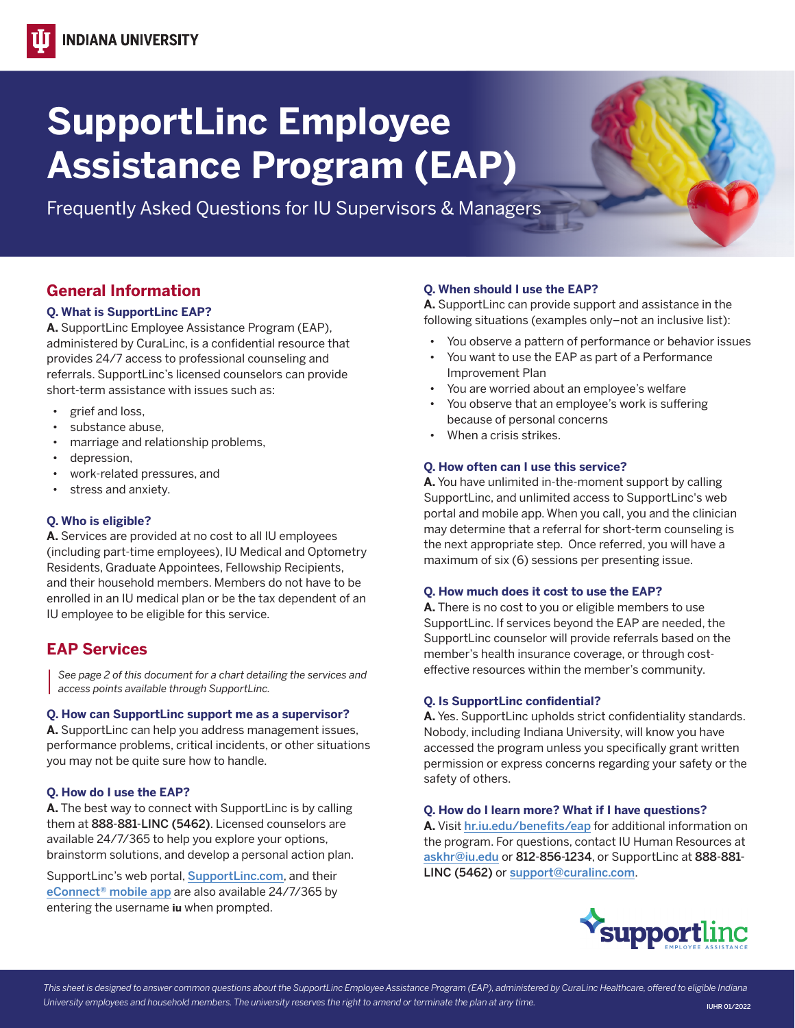# **SupportLinc Employee Assistance Program (EAP)**

Frequently Asked Questions for IU Supervisors & Managers

# **General Information**

#### **Q. What is SupportLinc EAP?**

**A.** SupportLinc Employee Assistance Program (EAP), administered by CuraLinc, is a confidential resource that provides 24/7 access to professional counseling and referrals. SupportLinc's licensed counselors can provide short-term assistance with issues such as:

- grief and loss,
- substance abuse,
- marriage and relationship problems,
- depression,
- work-related pressures, and
- stress and anxiety.

### **Q. Who is eligible?**

**A.** Services are provided at no cost to all IU employees (including part-time employees), IU Medical and Optometry Residents, Graduate Appointees, Fellowship Recipients, and their household members. Members do not have to be enrolled in an IU medical plan or be the tax dependent of an IU employee to be eligible for this service.

## **EAP Services**

*See page 2 of this document for a chart detailing the services and access points available through SupportLinc.* 

#### **Q. How can SupportLinc support me as a supervisor?**

**A.** SupportLinc can help you address management issues, performance problems, critical incidents, or other situations you may not be quite sure how to handle.

#### **Q. How do I use the EAP?**

 brainstorm solutions, and develop a personal action plan. **A.** The best way to connect with SupportLinc is by calling them at 888-881-LINC (5462). Licensed counselors are available 24/7/365 to help you explore your options,

SupportLinc's web portal, [SupportLinc.com](https://iu.mysupportportal.com/), and their eConnect<sup>®</sup> mobile app are also available 24/7/365 by entering the username **iu** when prompted.

#### **Q. When should I use the EAP?**

**A.** SupportLinc can provide support and assistance in the following situations (examples only–not an inclusive list):

- You observe a pattern of performance or behavior issues
- You want to use the EAP as part of a Performance Improvement Plan
- You are worried about an employee's welfare
- You observe that an employee's work is suffering because of personal concerns
- When a crisis strikes.

#### **Q. How often can I use this service?**

**A.** You have unlimited in-the-moment support by calling SupportLinc, and unlimited access to SupportLinc's web portal and mobile app. When you call, you and the clinician may determine that a referral for short-term counseling is the next appropriate step. Once referred, you will have a maximum of six (6) sessions per presenting issue.

#### **Q. How much does it cost to use the EAP?**

**A.** There is no cost to you or eligible members to use SupportLinc. If services beyond the EAP are needed, the SupportLinc counselor will provide referrals based on the member's health insurance coverage, or through costeffective resources within the member's community.

#### **Q. Is SupportLinc confidential?**

**A.** Yes. SupportLinc upholds strict confidentiality standards. Nobody, including Indiana University, will know you have accessed the program unless you specifically grant written permission or express concerns regarding your safety or the safety of others.

#### **Q. How do I learn more? What if I have questions?**

**A.** Visit [hr.iu.edu/benefits/eap](https://hr.iu.edu/benefits/eap.html) for additional information on the program. For questions, contact IU Human Resources at askhr@iu.edu or 812-856-1234, or SupportLinc at 888-881- LINC (5462) or support@curalinc.com.